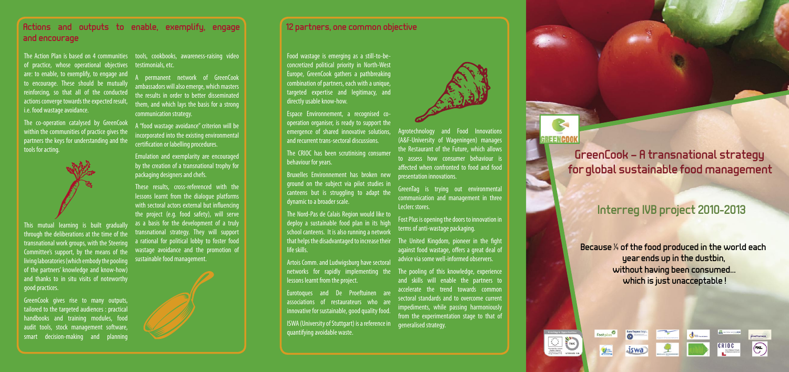GreenCook – A transnational strategy for global sustainable food management

# Interreg IVB project 2010-2013

Because ¼ of the food produced in the world each year ends up in the dustbin, without having been consumed… which is just unacceptable !









The Action Plan is based on 4 communities of practice, whose operational objectives are: to enable, to exemplify, to engage and to encourage. These should be mutually reinforcing, so that all of the conducted actions converge towards the expected result, i.e. food wastage avoidance.

The co-operation catalysed by GreenCook within the communities of practice gives the partners the keys for understanding and the tools for acting.



This mutual learning is built gradually through the deliberations at the time of the transnational work groups, with the Steering Committee's support, by the means of the living laboratories (which embody the pooling of the partners' knowledge and know-how) and thanks to in situ visits of noteworthy good practices.

GreenCook gives rise to many outputs, tailored to the targeted audiences : practical handbooks and training modules, food audit tools, stock management software, smart decision-making and planning

tools, cookbooks, awareness-raising video testimonials, etc.

**Dermanent network of GreenCook** ambassadors will also emerge, which masters the results in order to better disseminated them, and which lays the basis for a strong communication strategy.

A "food wastage avoidance" criterion will be incorporated into the existing environmental certification or labelling procedures.

Emulation and exemplarity are encouraged by the creation of a transnational trophy for packaging designers and chefs.

> The United Kingdom, pioneer in the fight against food wastage, offers a great deal of advice via some well-informed observers.

These results, cross-referenced with the lessons learnt from the dialogue platforms with sectoral actors external but influencing the project (e.g. food safety), will serve as a basis for the development of a truly transnational strategy. They will support a rational for political lobby to foster food wastage avoidance and the promotion of sustainable food management.



Food wastage is emerging as a still-to-beconcretized political priority in North-West Europe, GreenCook gathers a pathbreaking combination of partners, each with a unique, targeted expertise and legitimacy, and directly usable know-how.

Espace Environnement, a recognised cooperation organiser, is ready to support the emergence of shared innovative solutions, and recurrent trans-sectoral discussions.

The CRIOC has been scrutinising consumer behaviour for years.

Bruxelles Environnement has broken new ground on the subject via pilot studies in canteens but is struggling to adapt the dynamic to a broader scale.

The Nord-Pas de Calais Region would like to deploy a sustainable food plan in its high school canteens. It is also running a network that helps the disadvantaged to increase their life skills.

Artois Comm. and Ludwigsburg have sectoral networks for rapidly implementing the lessons learnt from the project.

Eurotoques and De Proeftuinen are associations of restaurateurs who are innovative for sustainable, good quality food.

ISWA (University of Stuttgart) is a reference in quantifying avoidable waste.



Agrotechnology and Food Innovations (A&F-University of Wageningen) manages the Restaurant of the Future, which allows to assess how consumer behaviour is affected when confronted to food and food presentation innovations.

GreenTag is trying out environmental communication and management in three Leclerc stores.

Fost Plus is opening the doors to innovation in terms of anti-wastage packaging.

The pooling of this knowledge, experience and skills will enable the partners to accelerate the trend towards common sectoral standards and to overcome current impediments, while passing harmoniously from the experimentation stage to that of generalised strategy.



### Actions and outputs to enable, exemplify, engage and encourage

### 12 partners, one common objective